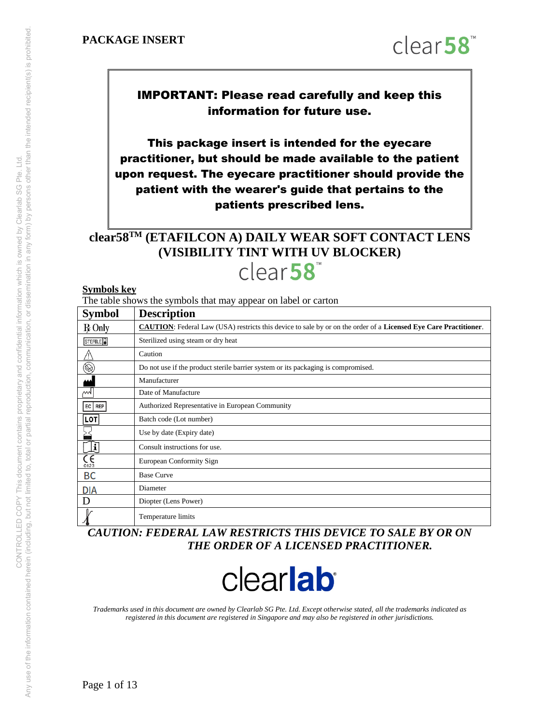

IMPORTANT: Please read carefully and keep this information for future use.

This package insert is intended for the eyecare practitioner, but should be made available to the patient upon request. The eyecare practitioner should provide the patient with the wearer's guide that pertains to the patients prescribed lens.

# **clear58TM (ETAFILCON A) DAILY WEAR SOFT CONTACT LENS (VISIBILITY TINT WITH UV BLOCKER)**

clear58

#### **Symbols key**

The table shows the symbols that may appear on label or carton

| <b>Symbol</b>            | <b>Description</b>                                                                                                      |
|--------------------------|-------------------------------------------------------------------------------------------------------------------------|
| $R$ Only                 | <b>CAUTION:</b> Federal Law (USA) restricts this device to sale by or on the order of a Licensed Eye Care Practitioner. |
| STERILE <sup>1</sup>     | Sterilized using steam or dry heat                                                                                      |
|                          | Caution                                                                                                                 |
| $\circledR$              | Do not use if the product sterile barrier system or its packaging is compromised.                                       |
|                          | Manufacturer                                                                                                            |
| М                        | Date of Manufacture                                                                                                     |
| EC   REP                 | Authorized Representative in European Community                                                                         |
| <b>LOT</b>               | Batch code (Lot number)                                                                                                 |
|                          | Use by date (Expiry date)                                                                                               |
| Į                        | Consult instructions for use.                                                                                           |
| $\zeta_{\frac{0123}{2}}$ | European Conformity Sign                                                                                                |
| <b>BC</b>                | <b>Base Curve</b>                                                                                                       |
| DIA                      | Diameter                                                                                                                |
| D                        | Diopter (Lens Power)                                                                                                    |
|                          | Temperature limits                                                                                                      |

*CAUTION: FEDERAL LAW RESTRICTS THIS DEVICE TO SALE BY OR ON THE ORDER OF A LICENSED PRACTITIONER.* 



*Trademarks used in this document are owned by Clearlab SG Pte. Ltd. Except otherwise stated, all the trademarks indicated as registered in this document are registered in Singapore and may also be registered in other jurisdictions.*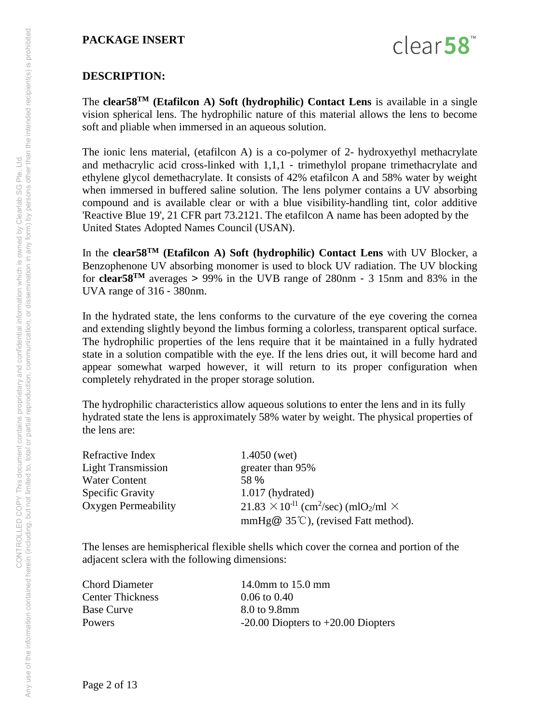

# **DESCRIPTION:**

The **clear58TM (Etafilcon A) Soft (hydrophilic) Contact Lens** is available in a single vision spherical lens. The hydrophilic nature of this material allows the lens to become soft and pliable when immersed in an aqueous solution.

The ionic lens material, (etafilcon A) is a co-polymer of 2- hydroxyethyl methacrylate and methacrylic acid cross-linked with 1,1,1 - trimethylol propane trimethacrylate and ethylene glycol demethacrylate. It consists of 42% etafilcon A and 58% water by weight when immersed in buffered saline solution. The lens polymer contains a UV absorbing compound and is available clear or with a blue visibility-handling tint, color additive 'Reactive Blue 19', 21 CFR part 73.2121. The etafilcon A name has been adopted by the United States Adopted Names Council (USAN).

In the **clear58TM (Etafilcon A) Soft (hydrophilic) Contact Lens** with UV Blocker, a Benzophenone UV absorbing monomer is used to block UV radiation. The UV blocking for **clear58**<sup>TM</sup> averages  $> 99\%$  in the UVB range of 280nm - 3 15nm and 83% in the UVA range of 316 - 380nm.

In the hydrated state, the lens conforms to the curvature of the eye covering the cornea and extending slightly beyond the limbus forming a colorless, transparent optical surface. The hydrophilic properties of the lens require that it be maintained in a fully hydrated state in a solution compatible with the eye. If the lens dries out, it will become hard and appear somewhat warped however, it will return to its proper configuration when completely rehydrated in the proper storage solution.

The hydrophilic characteristics allow aqueous solutions to enter the lens and in its fully hydrated state the lens is approximately 58% water by weight. The physical properties of the lens are:

| Refractive Index          | $1.4050$ (wet)                                                                |  |  |  |
|---------------------------|-------------------------------------------------------------------------------|--|--|--|
| <b>Light Transmission</b> | greater than 95%                                                              |  |  |  |
| <b>Water Content</b>      | 58 %                                                                          |  |  |  |
| <b>Specific Gravity</b>   | $1.017$ (hydrated)                                                            |  |  |  |
| Oxygen Permeability       | $21.83 \times 10^{-11}$ (cm <sup>2</sup> /sec) (mlO <sub>2</sub> /ml $\times$ |  |  |  |
|                           | mmHg $@$ 35°C), (revised Fatt method).                                        |  |  |  |

The lenses are hemispherical flexible shells which cover the cornea and portion of the adjacent sclera with the following dimensions:

Chord Diameter 14.0mm to 15.0 mm Center Thickness 0.06 to 0.40 Base Curve 8.0 to 9.8mm

Powers -20.00 Diopters to +20.00 Diopters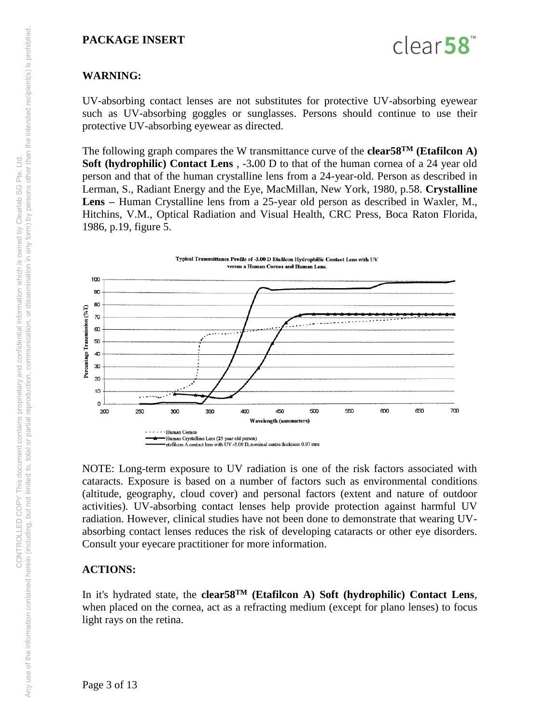

## **WARNING:**

UV-absorbing contact lenses are not substitutes for protective UV-absorbing eyewear such as UV-absorbing goggles or sunglasses. Persons should continue to use their protective UV-absorbing eyewear as directed.

The following graph compares the W transmittance curve of the **clear58TM (Etafilcon A) Soft (hydrophilic) Contact Lens** , -3**.**00 D to that of the human cornea of a 24 year old person and that of the human crystalline lens from a 24-year-old. Person as described in Lerman, S., Radiant Energy and the Eye, MacMillan, New York, 1980, p.58. **Crystalline Lens –** Human Crystalline lens from a 25-year old person as described in Waxler, M., Hitchins, V.M., Optical Radiation and Visual Health, CRC Press, Boca Raton Florida, 1986, p.19, figure 5.



NOTE: Long-term exposure to UV radiation is one of the risk factors associated with cataracts. Exposure is based on a number of factors such as environmental conditions (altitude, geography, cloud cover) and personal factors (extent and nature of outdoor activities). UV-absorbing contact lenses help provide protection against harmful UV radiation. However, clinical studies have not been done to demonstrate that wearing UVabsorbing contact lenses reduces the risk of developing cataracts or other eye disorders. Consult your eyecare practitioner for more information.

## **ACTIONS:**

In it's hydrated state, the **clear58TM (Etafilcon A) Soft (hydrophilic) Contact Lens**, when placed on the cornea, act as a refracting medium (except for plano lenses) to focus light rays on the retina.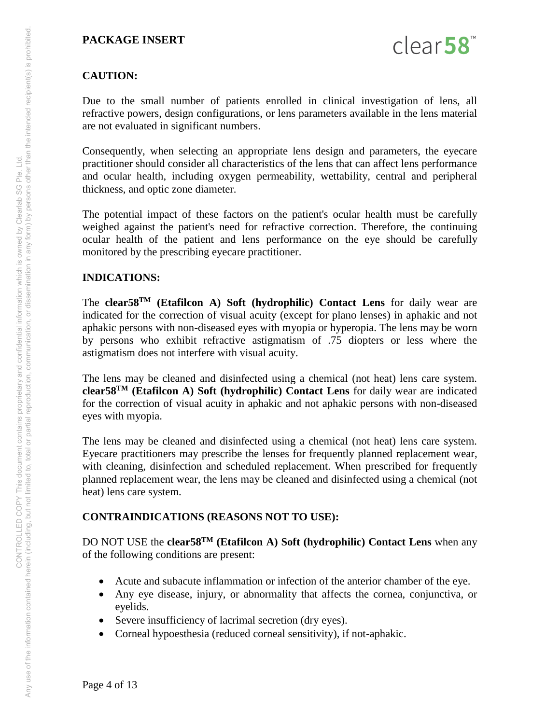

# **CAUTION:**

Due to the small number of patients enrolled in clinical investigation of lens, all refractive powers, design configurations, or lens parameters available in the lens material are not evaluated in significant numbers.

Consequently, when selecting an appropriate lens design and parameters, the eyecare practitioner should consider all characteristics of the lens that can affect lens performance and ocular health, including oxygen permeability, wettability, central and peripheral thickness, and optic zone diameter.

The potential impact of these factors on the patient's ocular health must be carefully weighed against the patient's need for refractive correction. Therefore, the continuing ocular health of the patient and lens performance on the eye should be carefully monitored by the prescribing eyecare practitioner.

## **INDICATIONS:**

The **clear58TM (Etafilcon A) Soft (hydrophilic) Contact Lens** for daily wear are indicated for the correction of visual acuity (except for plano lenses) in aphakic and not aphakic persons with non-diseased eyes with myopia or hyperopia. The lens may be worn by persons who exhibit refractive astigmatism of .75 diopters or less where the astigmatism does not interfere with visual acuity.

The lens may be cleaned and disinfected using a chemical (not heat) lens care system. **clear58TM (Etafilcon A) Soft (hydrophilic) Contact Lens** for daily wear are indicated for the correction of visual acuity in aphakic and not aphakic persons with non-diseased eyes with myopia.

The lens may be cleaned and disinfected using a chemical (not heat) lens care system. Eyecare practitioners may prescribe the lenses for frequently planned replacement wear, with cleaning, disinfection and scheduled replacement. When prescribed for frequently planned replacement wear, the lens may be cleaned and disinfected using a chemical (not heat) lens care system.

## **CONTRAINDICATIONS (REASONS NOT TO USE):**

DO NOT USE the **clear58TM (Etafilcon A) Soft (hydrophilic) Contact Lens** when any of the following conditions are present:

- Acute and subacute inflammation or infection of the anterior chamber of the eye.
- Any eye disease, injury, or abnormality that affects the cornea, conjunctiva, or eyelids.
- Severe insufficiency of lacrimal secretion (dry eyes).
- Corneal hypoesthesia (reduced corneal sensitivity), if not-aphakic.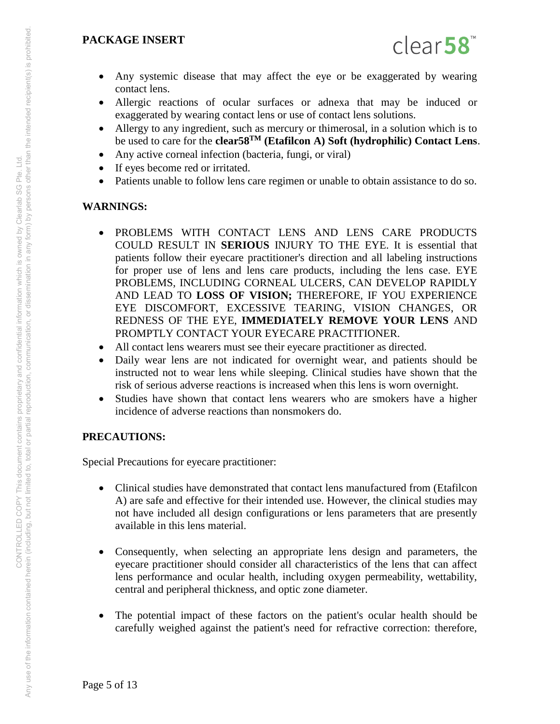

- Any systemic disease that may affect the eye or be exaggerated by wearing contact lens.
- Allergic reactions of ocular surfaces or adnexa that may be induced or exaggerated by wearing contact lens or use of contact lens solutions.
- Allergy to any ingredient, such as mercury or thimerosal, in a solution which is to be used to care for the **clear58TM (Etafilcon A) Soft (hydrophilic) Contact Lens**.
- Any active corneal infection (bacteria, fungi, or viral)
- If eyes become red or irritated.
- Patients unable to follow lens care regimen or unable to obtain assistance to do so.

## **WARNINGS:**

- PROBLEMS WITH CONTACT LENS AND LENS CARE PRODUCTS COULD RESULT IN **SERIOUS** INJURY TO THE EYE. It is essential that patients follow their eyecare practitioner's direction and all labeling instructions for proper use of lens and lens care products, including the lens case. EYE PROBLEMS, INCLUDING CORNEAL ULCERS, CAN DEVELOP RAPIDLY AND LEAD TO **LOSS OF VISION;** THEREFORE, IF YOU EXPERIENCE EYE DISCOMFORT, EXCESSIVE TEARING, VISION CHANGES, OR REDNESS OF THE EYE, **IMMEDIATELY REMOVE YOUR LENS** AND PROMPTLY CONTACT YOUR EYECARE PRACTITIONER.
- All contact lens wearers must see their eyecare practitioner as directed.
- Daily wear lens are not indicated for overnight wear, and patients should be instructed not to wear lens while sleeping. Clinical studies have shown that the risk of serious adverse reactions is increased when this lens is worn overnight.
- Studies have shown that contact lens wearers who are smokers have a higher incidence of adverse reactions than nonsmokers do.

## **PRECAUTIONS:**

Special Precautions for eyecare practitioner:

- Clinical studies have demonstrated that contact lens manufactured from (Etafilcon A) are safe and effective for their intended use. However, the clinical studies may not have included all design configurations or lens parameters that are presently available in this lens material.
- Consequently, when selecting an appropriate lens design and parameters, the eyecare practitioner should consider all characteristics of the lens that can affect lens performance and ocular health, including oxygen permeability, wettability, central and peripheral thickness, and optic zone diameter.
- The potential impact of these factors on the patient's ocular health should be carefully weighed against the patient's need for refractive correction: therefore,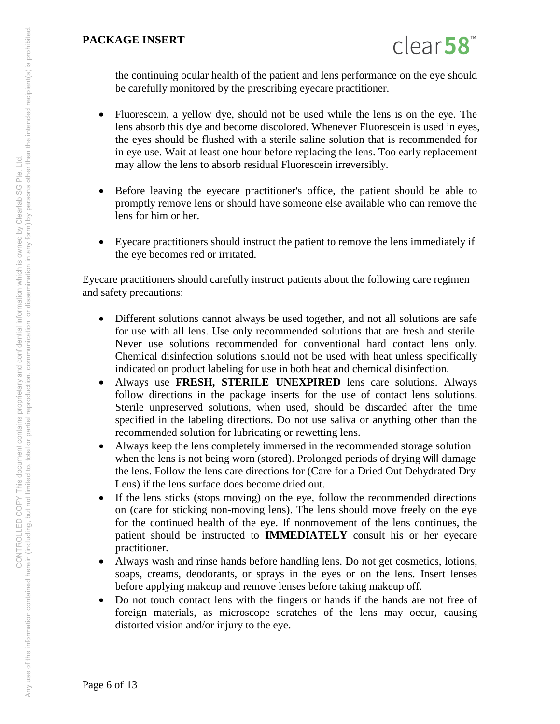

the continuing ocular health of the patient and lens performance on the eye should be carefully monitored by the prescribing eyecare practitioner.

- Fluorescein, a yellow dye, should not be used while the lens is on the eye. The lens absorb this dye and become discolored. Whenever Fluorescein is used in eyes, the eyes should be flushed with a sterile saline solution that is recommended for in eye use. Wait at least one hour before replacing the lens. Too early replacement may allow the lens to absorb residual Fluorescein irreversibly.
- Before leaving the eyecare practitioner's office, the patient should be able to promptly remove lens or should have someone else available who can remove the lens for him or her.
- Eyecare practitioners should instruct the patient to remove the lens immediately if the eye becomes red or irritated.

Eyecare practitioners should carefully instruct patients about the following care regimen and safety precautions:

- Different solutions cannot always be used together, and not all solutions are safe for use with all lens. Use only recommended solutions that are fresh and sterile. Never use solutions recommended for conventional hard contact lens only. Chemical disinfection solutions should not be used with heat unless specifically indicated on product labeling for use in both heat and chemical disinfection.
- Always use **FRESH, STERILE UNEXPIRED** lens care solutions. Always follow directions in the package inserts for the use of contact lens solutions. Sterile unpreserved solutions, when used, should be discarded after the time specified in the labeling directions. Do not use saliva or anything other than the recommended solution for lubricating or rewetting lens.
- Always keep the lens completely immersed in the recommended storage solution when the lens is not being worn (stored). Prolonged periods of drying will damage the lens. Follow the lens care directions for (Care for a Dried Out Dehydrated Dry Lens) if the lens surface does become dried out.
- If the lens sticks (stops moving) on the eye, follow the recommended directions on (care for sticking non-moving lens). The lens should move freely on the eye for the continued health of the eye. If nonmovement of the lens continues, the patient should be instructed to **IMMEDIATELY** consult his or her eyecare practitioner.
- Always wash and rinse hands before handling lens. Do not get cosmetics, lotions, soaps, creams, deodorants, or sprays in the eyes or on the lens. Insert lenses before applying makeup and remove lenses before taking makeup off.
- Do not touch contact lens with the fingers or hands if the hands are not free of foreign materials, as microscope scratches of the lens may occur, causing distorted vision and/or injury to the eye.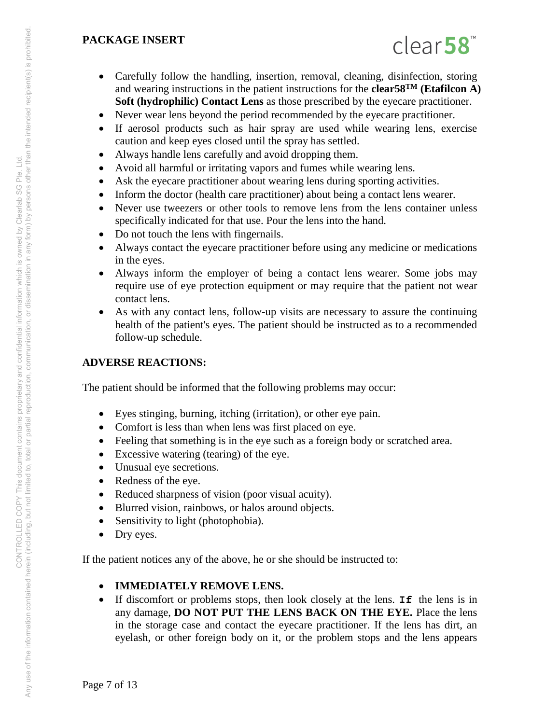

- Carefully follow the handling, insertion, removal, cleaning, disinfection, storing and wearing instructions in the patient instructions for the **clear58TM (Etafilcon A) Soft (hydrophilic) Contact Lens** as those prescribed by the eyecare practitioner.
- Never wear lens beyond the period recommended by the eyecare practitioner.
- If aerosol products such as hair spray are used while wearing lens, exercise caution and keep eyes closed until the spray has settled.
- Always handle lens carefully and avoid dropping them.
- Avoid all harmful or irritating vapors and fumes while wearing lens.
- Ask the eyecare practitioner about wearing lens during sporting activities.
- Inform the doctor (health care practitioner) about being a contact lens wearer.
- Never use tweezers or other tools to remove lens from the lens container unless specifically indicated for that use. Pour the lens into the hand.
- Do not touch the lens with fingernails.
- Always contact the eyecare practitioner before using any medicine or medications in the eyes.
- Always inform the employer of being a contact lens wearer. Some jobs may require use of eye protection equipment or may require that the patient not wear contact lens.
- As with any contact lens, follow-up visits are necessary to assure the continuing health of the patient's eyes. The patient should be instructed as to a recommended follow-up schedule.

# **ADVERSE REACTIONS:**

The patient should be informed that the following problems may occur:

- Eyes stinging, burning, itching (irritation), or other eye pain.
- Comfort is less than when lens was first placed on eye.
- Feeling that something is in the eye such as a foreign body or scratched area.
- Excessive watering (tearing) of the eye.
- Unusual eye secretions.
- Redness of the eye.
- Reduced sharpness of vision (poor visual acuity).
- Blurred vision, rainbows, or halos around objects.
- Sensitivity to light (photophobia).
- Dry eyes.

If the patient notices any of the above, he or she should be instructed to:

## **IMMEDIATELY REMOVE LENS.**

 If discomfort or problems stops, then look closely at the lens. **If** the lens is in any damage, **DO NOT PUT THE LENS BACK ON THE EYE.** Place the lens in the storage case and contact the eyecare practitioner. If the lens has dirt, an eyelash, or other foreign body on it, or the problem stops and the lens appears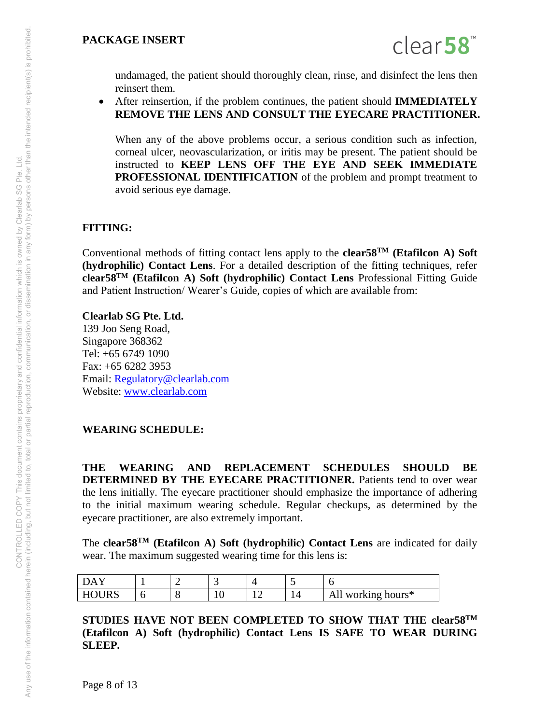

undamaged, the patient should thoroughly clean, rinse, and disinfect the lens then reinsert them.

 After reinsertion, if the problem continues, the patient should **IMMEDIATELY REMOVE THE LENS AND CONSULT THE EYECARE PRACTITIONER.** 

When any of the above problems occur, a serious condition such as infection, corneal ulcer, neovascularization, or iritis may be present. The patient should be instructed to **KEEP LENS OFF THE EYE AND SEEK IMMEDIATE PROFESSIONAL IDENTIFICATION** of the problem and prompt treatment to avoid serious eye damage.

## **FITTING:**

Conventional methods of fitting contact lens apply to the **clear58TM (Etafilcon A) Soft (hydrophilic) Contact Lens**. For a detailed description of the fitting techniques, refer **clear58TM (Etafilcon A) Soft (hydrophilic) Contact Lens** Professional Fitting Guide and Patient Instruction/ Wearer's Guide, copies of which are available from:

**Clearlab SG Pte. Ltd.**  139 Joo Seng Road, Singapore 368362 Tel: +65 6749 1090 Fax: +65 6282 3953 Email: [Regulatory@clearlab.com](mailto:Regulatory@clearlab.com) Website: [www.clearlab.com](http://www.clearlab.com/)

## **WEARING SCHEDULE:**

**THE WEARING AND REPLACEMENT SCHEDULES SHOULD BE DETERMINED BY THE EYECARE PRACTITIONER.** Patients tend to over wear the lens initially. The eyecare practitioner should emphasize the importance of adhering to the initial maximum wearing schedule. Regular checkups, as determined by the eyecare practitioner, are also extremely important.

The **clear58TM (Etafilcon A) Soft (hydrophilic) Contact Lens** are indicated for daily wear. The maximum suggested wearing time for this lens is:

| $ -$<br>DA. | ╭ | ╭<br>້                        |   | ັ |                       |
|-------------|---|-------------------------------|---|---|-----------------------|
| H<br>"T/n   |   | $\overline{\phantom{a}}$<br>- | ∸ |   | working hours*<br>All |

**STUDIES HAVE NOT BEEN COMPLETED TO SHOW THAT THE clear58TM (Etafilcon A) Soft (hydrophilic) Contact Lens IS SAFE TO WEAR DURING SLEEP.**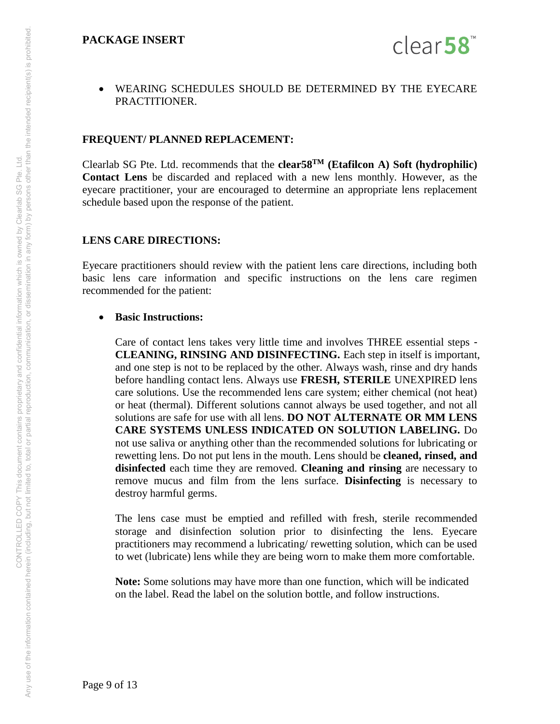

 WEARING SCHEDULES SHOULD BE DETERMINED BY THE EYECARE PRACTITIONER.

#### **FREQUENT/ PLANNED REPLACEMENT:**

Clearlab SG Pte. Ltd. recommends that the **clear58TM (Etafilcon A) Soft (hydrophilic) Contact Lens** be discarded and replaced with a new lens monthly. However, as the eyecare practitioner, your are encouraged to determine an appropriate lens replacement schedule based upon the response of the patient.

#### **LENS CARE DIRECTIONS:**

Eyecare practitioners should review with the patient lens care directions, including both basic lens care information and specific instructions on the lens care regimen recommended for the patient:

#### **Basic Instructions:**

Care of contact lens takes very little time and involves THREE essential steps - **CLEANING, RINSING AND DISINFECTING.** Each step in itself is important, and one step is not to be replaced by the other. Always wash, rinse and dry hands before handling contact lens. Always use **FRESH, STERILE** UNEXPIRED lens care solutions. Use the recommended lens care system; either chemical (not heat) or heat (thermal). Different solutions cannot always be used together, and not all solutions are safe for use with all lens. **DO NOT ALTERNATE OR MM LENS CARE SYSTEMS UNLESS INDICATED ON SOLUTION LABELING.** Do not use saliva or anything other than the recommended solutions for lubricating or rewetting lens. Do not put lens in the mouth. Lens should be **cleaned, rinsed, and disinfected** each time they are removed. **Cleaning and rinsing** are necessary to remove mucus and film from the lens surface. **Disinfecting** is necessary to destroy harmful germs.

The lens case must be emptied and refilled with fresh, sterile recommended storage and disinfection solution prior to disinfecting the lens. Eyecare practitioners may recommend a lubricating/ rewetting solution, which can be used to wet (lubricate) lens while they are being worn to make them more comfortable.

**Note:** Some solutions may have more than one function, which will be indicated on the label. Read the label on the solution bottle, and follow instructions.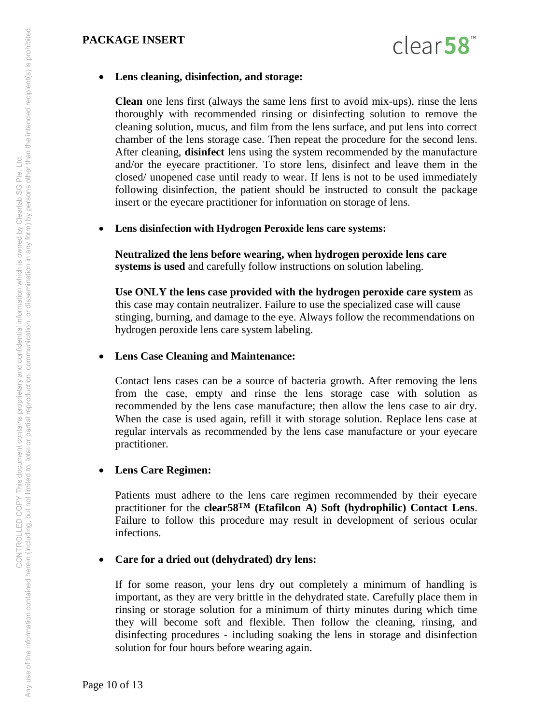

#### **Lens cleaning, disinfection, and storage:**

**Clean** one lens first (always the same lens first to avoid mix-ups), rinse the lens thoroughly with recommended rinsing or disinfecting solution to remove the cleaning solution, mucus, and film from the lens surface, and put lens into correct chamber of the lens storage case. Then repeat the procedure for the second lens. After cleaning, **disinfect** lens using the system recommended by the manufacture and/or the eyecare practitioner. To store lens, disinfect and leave them in the closed/ unopened case until ready to wear. If lens is not to be used immediately following disinfection, the patient should be instructed to consult the package insert or the eyecare practitioner for information on storage of lens.

#### **Lens disinfection with Hydrogen Peroxide lens care systems:**

**Neutralized the lens before wearing, when hydrogen peroxide lens care systems is used** and carefully follow instructions on solution labeling.

**Use ONLY the lens case provided with the hydrogen peroxide care system** as this case may contain neutralizer. Failure to use the specialized case will cause stinging, burning, and damage to the eye. Always follow the recommendations on hydrogen peroxide lens care system labeling.

#### **Lens Case Cleaning and Maintenance:**

Contact lens cases can be a source of bacteria growth. After removing the lens from the case, empty and rinse the lens storage case with solution as recommended by the lens case manufacture; then allow the lens case to air dry. When the case is used again, refill it with storage solution. Replace lens case at regular intervals as recommended by the lens case manufacture or your eyecare practitioner.

#### **Lens Care Regimen:**

Patients must adhere to the lens care regimen recommended by their eyecare practitioner for the **clear58TM (Etafilcon A) Soft (hydrophilic) Contact Lens**. Failure to follow this procedure may result in development of serious ocular infections.

## **Care for a dried out (dehydrated) dry lens:**

If for some reason, your lens dry out completely a minimum of handling is important, as they are very brittle in the dehydrated state. Carefully place them in rinsing or storage solution for a minimum of thirty minutes during which time they will become soft and flexible. Then follow the cleaning, rinsing, and disinfecting procedures - including soaking the lens in storage and disinfection solution for four hours before wearing again.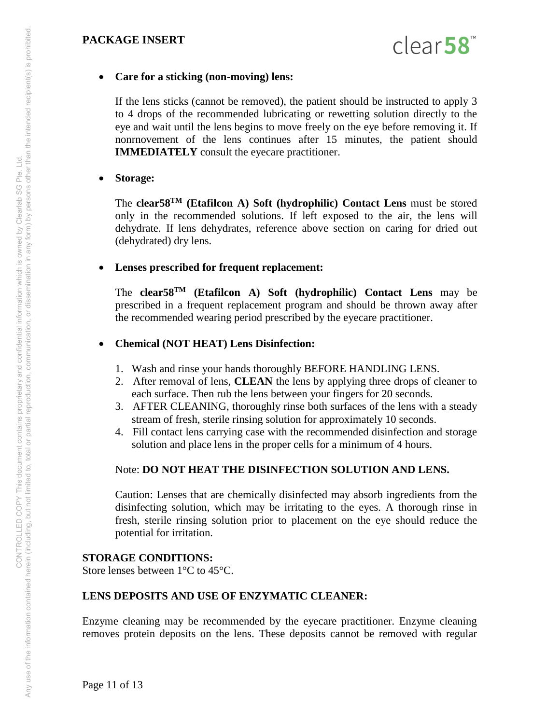

#### **Care for a sticking (non-moving) lens:**

If the lens sticks (cannot be removed), the patient should be instructed to apply 3 to 4 drops of the recommended lubricating or rewetting solution directly to the eye and wait until the lens begins to move freely on the eye before removing it. If nonrnovement of the lens continues after 15 minutes, the patient should **IMMEDIATELY** consult the eyecare practitioner.

#### **Storage:**

The **clear58TM (Etafilcon A) Soft (hydrophilic) Contact Lens** must be stored only in the recommended solutions. If left exposed to the air, the lens will dehydrate. If lens dehydrates, reference above section on caring for dried out (dehydrated) dry lens.

## **Lenses prescribed for frequent replacement:**

The **clear58TM (Etafilcon A) Soft (hydrophilic) Contact Lens** may be prescribed in a frequent replacement program and should be thrown away after the recommended wearing period prescribed by the eyecare practitioner.

## **Chemical (NOT HEAT) Lens Disinfection:**

- 1. Wash and rinse your hands thoroughly BEFORE HANDLING LENS.
- 2. After removal of lens, **CLEAN** the lens by applying three drops of cleaner to each surface. Then rub the lens between your fingers for 20 seconds.
- 3. AFTER CLEANING, thoroughly rinse both surfaces of the lens with a steady stream of fresh, sterile rinsing solution for approximately 10 seconds.
- 4. Fill contact lens carrying case with the recommended disinfection and storage solution and place lens in the proper cells for a minimum of 4 hours.

## Note: **DO NOT HEAT THE DISINFECTION SOLUTION AND LENS.**

Caution: Lenses that are chemically disinfected may absorb ingredients from the disinfecting solution, which may be irritating to the eyes. A thorough rinse in fresh, sterile rinsing solution prior to placement on the eye should reduce the potential for irritation.

## **STORAGE CONDITIONS:**

Store lenses between 1°C to 45°C.

## **LENS DEPOSITS AND USE OF ENZYMATIC CLEANER:**

Enzyme cleaning may be recommended by the eyecare practitioner. Enzyme cleaning removes protein deposits on the lens. These deposits cannot be removed with regular

Any use of the information contained herein (including, but not limited to, total or partial reproduction, communication, or dissemination in any form) by persons other than the intended recipient(s) is prohibited. Any use of the information contained herein (including, but not imitate to having proprietary and confidential information which is owned by Clearlab SG Pte. Ltd.<br>Any use of the information contained herein (including, but CONTROLLED COPY This document contains proprietary and confidential information which is owned by Clearlab SG Pte. Ltd.

Page 11 of 13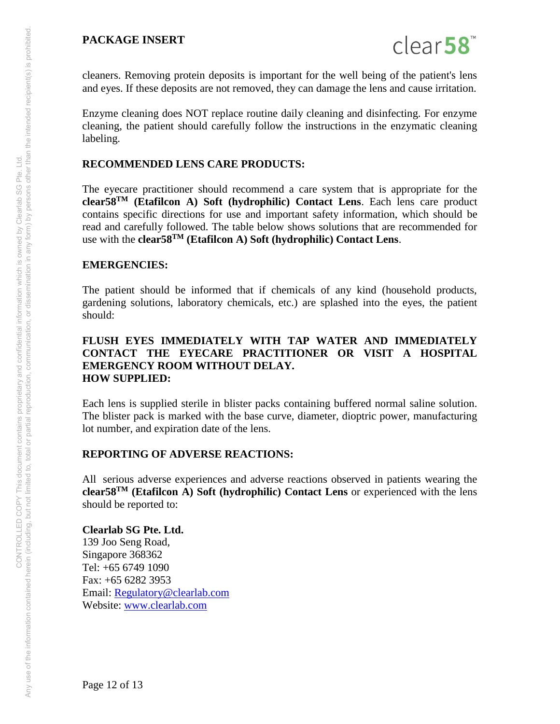

cleaners. Removing protein deposits is important for the well being of the patient's lens and eyes. If these deposits are not removed, they can damage the lens and cause irritation.

Enzyme cleaning does NOT replace routine daily cleaning and disinfecting. For enzyme cleaning, the patient should carefully follow the instructions in the enzymatic cleaning labeling.

## **RECOMMENDED LENS CARE PRODUCTS:**

The eyecare practitioner should recommend a care system that is appropriate for the **clear58TM (Etafilcon A) Soft (hydrophilic) Contact Lens**. Each lens care product contains specific directions for use and important safety information, which should be read and carefully followed. The table below shows solutions that are recommended for use with the **clear58TM (Etafilcon A) Soft (hydrophilic) Contact Lens**.

## **EMERGENCIES:**

The patient should be informed that if chemicals of any kind (household products, gardening solutions, laboratory chemicals, etc.) are splashed into the eyes, the patient should:

#### **FLUSH EYES IMMEDIATELY WITH TAP WATER AND IMMEDIATELY CONTACT THE EYECARE PRACTITIONER OR VISIT A HOSPITAL EMERGENCY ROOM WITHOUT DELAY. HOW SUPPLIED:**

Each lens is supplied sterile in blister packs containing buffered normal saline solution. The blister pack is marked with the base curve, diameter, dioptric power, manufacturing lot number, and expiration date of the lens.

## **REPORTING OF ADVERSE REACTIONS:**

All serious adverse experiences and adverse reactions observed in patients wearing the **clear58TM (Etafilcon A) Soft (hydrophilic) Contact Lens** or experienced with the lens should be reported to:

**Clearlab SG Pte. Ltd.**  139 Joo Seng Road, Singapore 368362 Tel: +65 6749 1090 Fax: +65 6282 3953 Email: [Regulatory@clearlab.com](mailto:Regulatory@clearlab.com) Website: [www.clearlab.com](http://www.clearlab.com/)

Any use of the information contained herein (including, but not limited to, total or partial reproduction, communication, or dissemination in any form) by persons other than the intended recipient(s) is prohibited. Any use of the information contained herein (including, but not imitate to having proprietary and confidential information which is owned by Clearlab SG Pte. Ltd.<br>Any use of the information contained herein (including, but CONTROLLED COPY This document contains proprietary and confidential information which is owned by Clearlab SG Pte. Ltd.